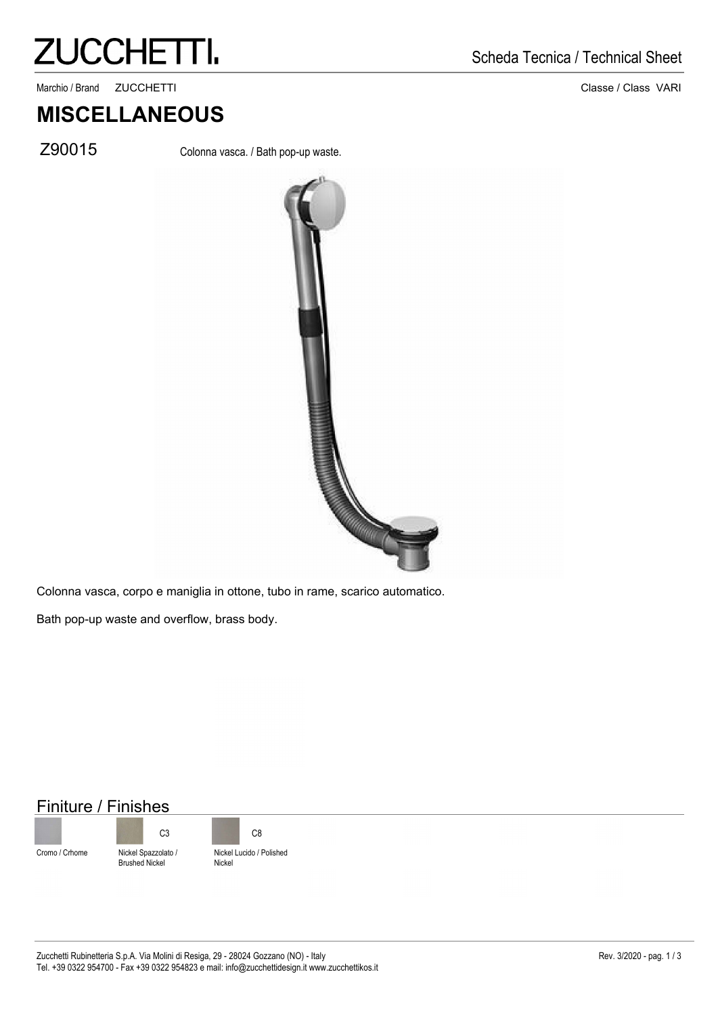# **ZUCCHETTI.**

. Marchio / Brand ZUCCHETTI Classe / Class VARI

#### Scheda Tecnica / Technical Sheet

### **MISCELLANEOUS**

Z90015 Colonna vasca. / Bath pop-up waste.



Colonna vasca, corpo e maniglia in ottone, tubo in rame, scarico automatico.

Bath pop-up waste and overflow, brass body.

#### Finiture / Finishes





Nickel Lucido / Polished C3 C8

Nickel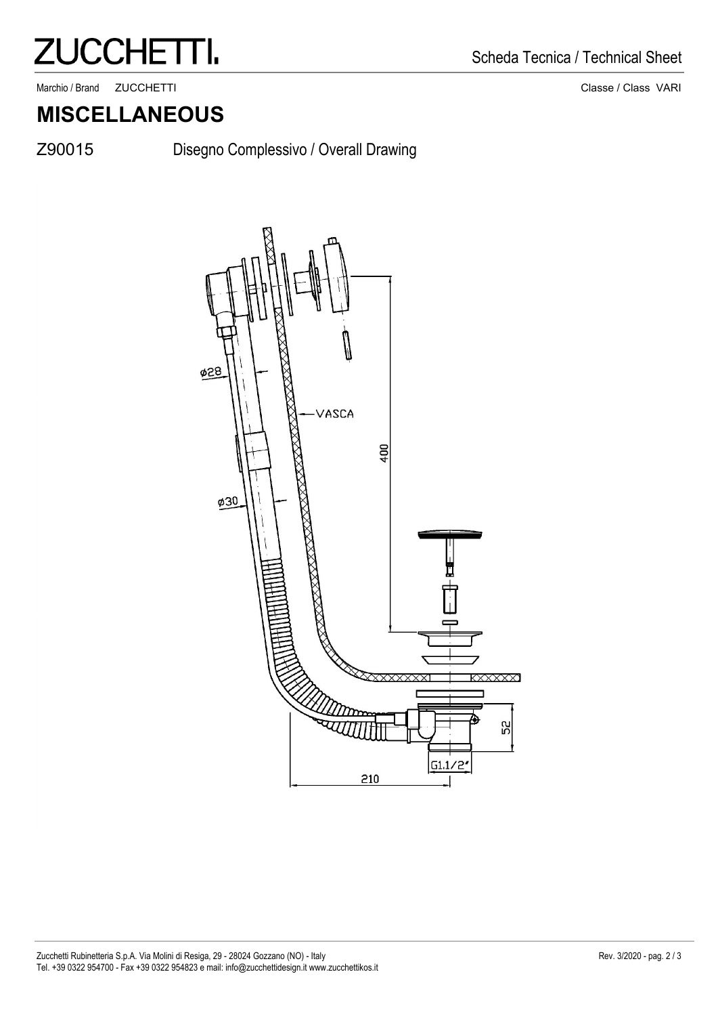## **ZUCCHETTI.**

. Marchio / Brand ZUCCHETTI 2000 Classe / Class VARI

#### **MISCELLANEOUS**

Z90015

Disegno Complessivo / Overall Drawing